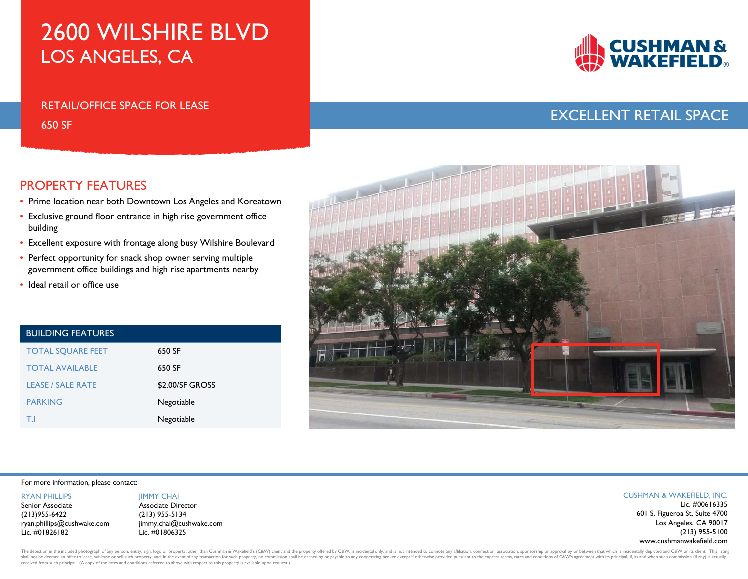# 2600 WILSHIRE BLVD LOS ANGELES, CA

## RETAIL/OFFICE SPACE FOR LEASE650 SF



## EXCELLENT RETAIL SPACE

### PROPERTY FEATURES

- Prime location near both Downtown Los Angeles and Koreatown
- Exclusive ground floor entrance in high rise government office building
- Excellent exposure with frontage along busy Wilshire Boulevard
- Perfect opportunity for snack shop owner serving multiple government office buildings and high rise apartments nearby
- Ideal retail or office use

| <b>BUILDING FEATURES</b> |                 |
|--------------------------|-----------------|
| <b>TOTAL SOUARE FEET</b> | 650 SF          |
| <b>TOTAL AVAILABLE</b>   | 650 SF          |
| <b>LEASE / SALE RATE</b> | \$2.00/SF GROSS |
| <b>PARKING</b>           | Negotiable      |
|                          | Negotiable      |



#### For more information, please contact:

RYAN PHILLIPS

Senior Associate(213)955-6422 ryan.phillips@cushwake.com Lic. #01826182

#### **IIMMY CHAI** Associate Director Lic. #00616335 (213) 955-5134 jimmy.chai@cushwake.com Lic. #01806325

#### CUSHMAN & WAKEFIELD, INC.

601 S. Figueroa St, Suite 4700 Los Angeles, CA 90017 (213) 955-5100 www.cushmanwakefield.com

The depiction in the included photograph of any person, entity, sign, logo or property, other than Cushman & Wakefield's (C&W) client and the property offered by C&W, is incidental only, and is not intended to connote any shall not be deemed an offer to lease, sublease or sell such property; and, in the event of any transaction for such property, no commission shall be earned by or payable to any cooperating broker except if otherwise provi received from such principal. (A copy of the rates and conditions referred to above with respect to this property is available upon request.)